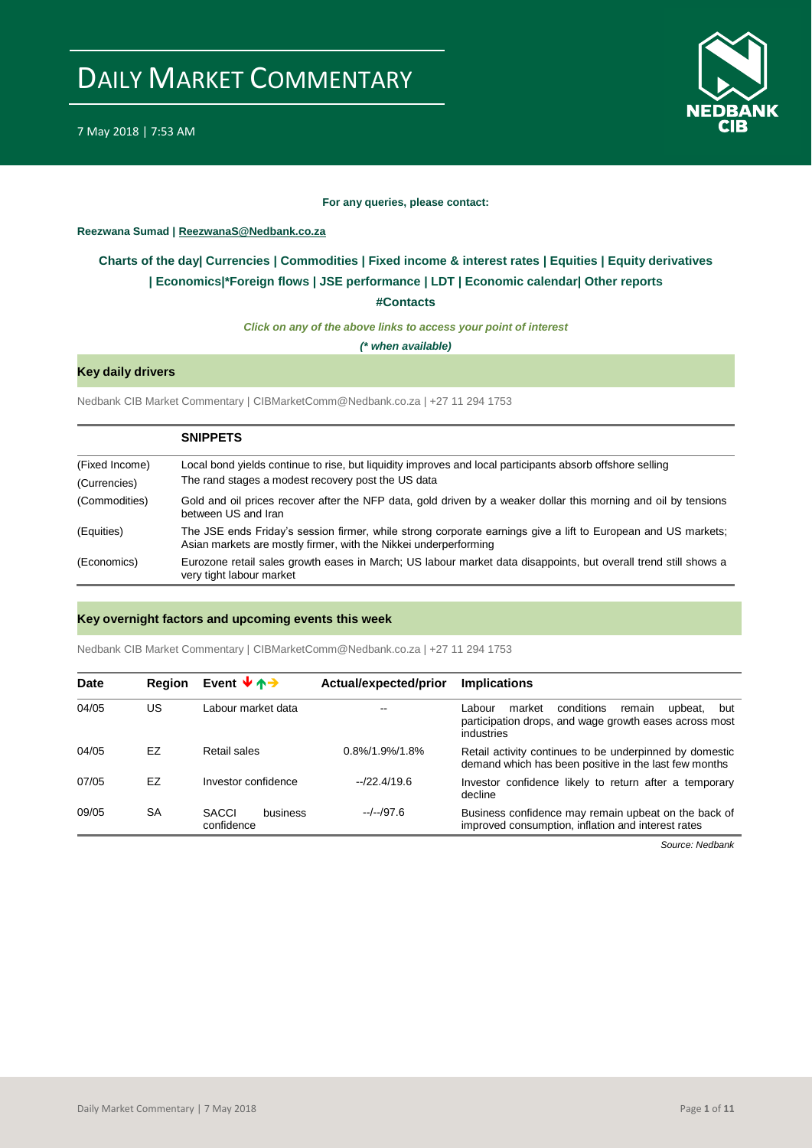

#### **For any queries, please contact:**

#### <span id="page-0-0"></span>**Reezwana Sumad | ReezwanaS@Nedbank.co.za**

### **Charts of the day| [Currencies](#page-2-0) [| Commodities](#page-3-0) | [Fixed income &](#page-1-0) interest rates | [Equities](#page-4-0) | Equity derivatives | [Economics|\\*](#page-7-0)Foreign flows | JSE performance | [LDT](#page-5-0) | [Economic calendar|](#page-8-0) Other reports**

**[#Contacts](#page-9-0)**

*Click on any of the above links to access your point of interest*

*(\* when available)*

### **Key daily drivers**

Nedbank CIB Market Commentary | CIBMarketComm@Nedbank.co.za | +27 11 294 1753

|                | <b>SNIPPETS</b>                                                                                                                                                                   |
|----------------|-----------------------------------------------------------------------------------------------------------------------------------------------------------------------------------|
| (Fixed Income) | Local bond yields continue to rise, but liquidity improves and local participants absorb offshore selling                                                                         |
| (Currencies)   | The rand stages a modest recovery post the US data                                                                                                                                |
| (Commodities)  | Gold and oil prices recover after the NFP data, gold driven by a weaker dollar this morning and oil by tensions<br>between US and Iran                                            |
| (Equities)     | The JSE ends Friday's session firmer, while strong corporate earnings give a lift to European and US markets;<br>Asian markets are mostly firmer, with the Nikkei underperforming |
| (Economics)    | Eurozone retail sales growth eases in March; US labour market data disappoints, but overall trend still shows a<br>very tight labour market                                       |

#### **Key overnight factors and upcoming events this week**

Nedbank CIB Market Commentary | CIBMarketComm@Nedbank.co.za | +27 11 294 1753

| <b>Date</b> | <b>Region</b> | Event $\forall \uparrow \rightarrow$   | Actual/expected/prior | <b>Implications</b>                                                                                                                |
|-------------|---------------|----------------------------------------|-----------------------|------------------------------------------------------------------------------------------------------------------------------------|
| 04/05       | US            | Labour market data                     | --                    | conditions<br>market<br>Labour<br>upbeat.<br>remain<br>but<br>participation drops, and wage growth eases across most<br>industries |
| 04/05       | EZ            | Retail sales                           | $0.8\%/1.9\%/1.8\%$   | Retail activity continues to be underpinned by domestic<br>demand which has been positive in the last few months                   |
| 07/05       | EZ            | Investor confidence                    | $-22.4/19.6$          | Investor confidence likely to return after a temporary<br>decline                                                                  |
| 09/05       | SA            | <b>SACCI</b><br>business<br>confidence | $-/-/97.6$            | Business confidence may remain upbeat on the back of<br>improved consumption, inflation and interest rates                         |

*Source: Nedbank*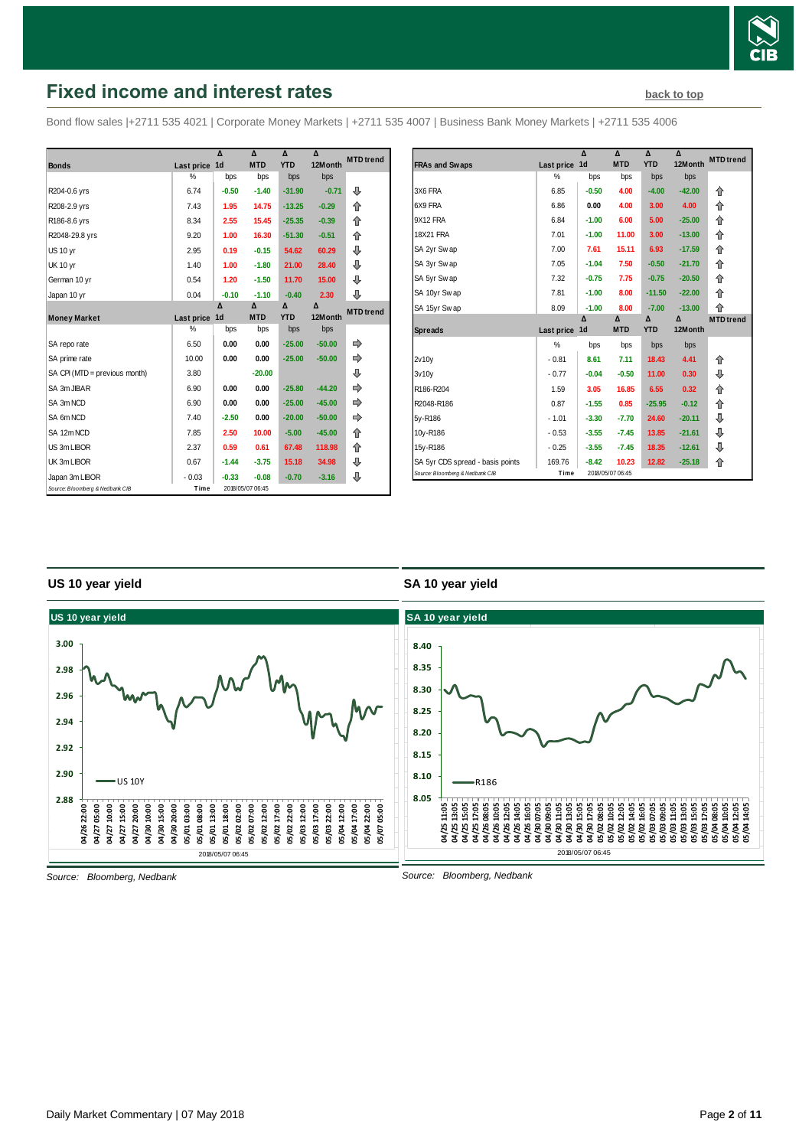

# <span id="page-1-0"></span>**Fixed income and interest rates [back to top](#page-0-0) back to top**

Bond flow sales |+2711 535 4021 | Corporate Money Markets | +2711 535 4007 | Business Bank Money Markets | +2711 535 4006

|                                 |               | Δ              | $\lambda$        | $\Lambda$  | $\lambda$ | <b>MTD</b> trend |
|---------------------------------|---------------|----------------|------------------|------------|-----------|------------------|
| <b>Bonds</b>                    | Last price    | 1 <sub>d</sub> | <b>MTD</b>       | <b>YTD</b> | 12Month   |                  |
|                                 | $\frac{0}{2}$ | bps            | bps              | bps        | bps       |                  |
| R204-0.6 yrs                    | 6.74          | $-0.50$        | $-1.40$          | $-31.90$   | $-0.71$   | ⊕                |
| R208-2.9 yrs                    | 7.43          | 1.95           | 14.75            | $-13.25$   | $-0.29$   | 合                |
| R186-8.6 yrs                    | 8.34          | 2.55           | 15.45            | $-25.35$   | $-0.39$   | 企                |
| R2048-29.8 yrs                  | 9.20          | 1.00           | 16.30            | $-51.30$   | $-0.51$   | 合                |
| <b>US 10 yr</b>                 | 2.95          | 0.19           | $-0.15$          | 54.62      | 60.29     | ⊕                |
| <b>UK 10 yr</b>                 | 1.40          | 1.00           | $-1.80$          | 21.00      | 28.40     | ⊕                |
| German 10 yr                    | 0.54          | 1.20           | $-1.50$          | 11.70      | 15.00     | ⊕                |
| Japan 10 yr                     | 0.04          | $-0.10$        | $-1.10$          | $-0.40$    | 2.30      | ⊕                |
|                                 |               | Δ              | Δ                | Δ          | Δ         | <b>MTD</b> trend |
| <b>Money Market</b>             | Last price    | 1 <sub>d</sub> | <b>MTD</b>       | <b>YTD</b> | 12Month   |                  |
|                                 | %             | bps            | bps              | bps        | bps       |                  |
| SA repo rate                    | 6.50          | 0.00           | 0.00             | $-25.00$   | $-50.00$  |                  |
| SA prime rate                   | 10.00         | 0.00           | 0.00             | $-25.00$   | $-50.00$  | ⇛                |
| SA CPI (MTD = previous month)   | 3.80          |                | $-20.00$         |            |           | ⊕                |
| SA 3m JIBAR                     | 6.90          | 0.00           | 0.00             | $-25.80$   | $-44.20$  |                  |
| SA 3m NCD                       | 6.90          | 0.00           | 0.00             | $-25.00$   | $-45.00$  |                  |
| SA 6m NCD                       | 7.40          | $-2.50$        | 0.00             | $-20.00$   | $-50.00$  |                  |
| SA 12m NCD                      | 7.85          | 2.50           | 10.00            | $-5.00$    | $-45.00$  | 合                |
| US 3m LIBOR                     | 2.37          | 0.59           | 0.61             | 67.48      | 118.98    | ⇑                |
| UK 3m LIBOR                     | 0.67          | $-1.44$        | $-3.75$          | 15.18      | 34.98     | ⊕                |
| Japan 3m LIBOR                  | $-0.03$       | $-0.33$        | $-0.08$          | $-0.70$    | $-3.16$   | ⇩                |
| Source: Bloomberg & Nedbank CIB | Time          |                | 2018/05/07 06:45 |            |           |                  |

|                                  |            | Δ       | Δ          | Δ          | Δ        | <b>MTD</b> trend |
|----------------------------------|------------|---------|------------|------------|----------|------------------|
| <b>FRAs and Swaps</b>            | Last price | 1d      | <b>MTD</b> | <b>YTD</b> | 12Month  |                  |
|                                  | %          | bps     | bps        | bps        | bps      |                  |
| 3X6 FRA                          | 6.85       | $-0.50$ | 4.00       | $-4.00$    | $-42.00$ | 企                |
| 6X9 FRA                          | 6.86       | 0.00    | 4.00       | 3.00       | 4.00     | 企                |
| 9X12 FRA                         | 6.84       | $-1.00$ | 6.00       | 5.00       | $-25.00$ | 企                |
| <b>18X21 FRA</b>                 | 7.01       | $-1.00$ | 11.00      | 3.00       | $-13.00$ | 企                |
| SA 2yr Swap                      | 7.00       | 7.61    | 15.11      | 6.93       | $-17.59$ | 企                |
| SA 3yr Swap                      | 7.05       | $-1.04$ | 7.50       | $-0.50$    | $-21.70$ | 企                |
| SA 5yr Swap                      | 7.32       | $-0.75$ | 7.75       | $-0.75$    | $-20.50$ | ⇑                |
| SA 10yr Swap                     | 7.81       | $-1.00$ | 8.00       | $-11.50$   | $-22.00$ | 企                |
| SA 15yr Swap                     | 8.09       | $-1.00$ | 8.00       | $-7.00$    | $-13.00$ | 企                |
|                                  |            | Δ       |            | Δ          |          |                  |
|                                  |            |         | Δ          |            | Δ        | <b>MTD</b> trend |
| <b>Spreads</b>                   | Last price | 1d      | <b>MTD</b> | <b>YTD</b> | 12Month  |                  |
|                                  | %          | bps     | bps        | bps        | bps      |                  |
| 2v10v                            | $-0.81$    | 8.61    | 7.11       | 18.43      | 4.41     | 企                |
| 3v10v                            | $-0.77$    | $-0.04$ | $-0.50$    | 11.00      | 0.30     | ⊕                |
| R186-R204                        | 1.59       | 3.05    | 16.85      | 6.55       | 0.32     | 企                |
| R2048-R186                       | 0.87       | $-1.55$ | 0.85       | $-25.95$   | $-0.12$  | 企                |
| 5y-R186                          | $-1.01$    | $-3.30$ | $-7.70$    | 24.60      | $-20.11$ | ⊕                |
| 10y-R186                         | $-0.53$    | $-3.55$ | $-7.45$    | 13.85      | $-21.61$ | ⊕                |
| 15y-R186                         | $-0.25$    | $-3.55$ | $-7.45$    | 18.35      | $-12.61$ | ⊕                |
| SA 5yr CDS spread - basis points | 169.76     | $-8.42$ | 10.23      | 12.82      | $-25.18$ | 企                |

#### **US 10 year yield**

### **SA 10 year yield**



*Source: Bloomberg, Nedbank*

Daily Market Commentary | 07 May 2018 Page **2** of **11**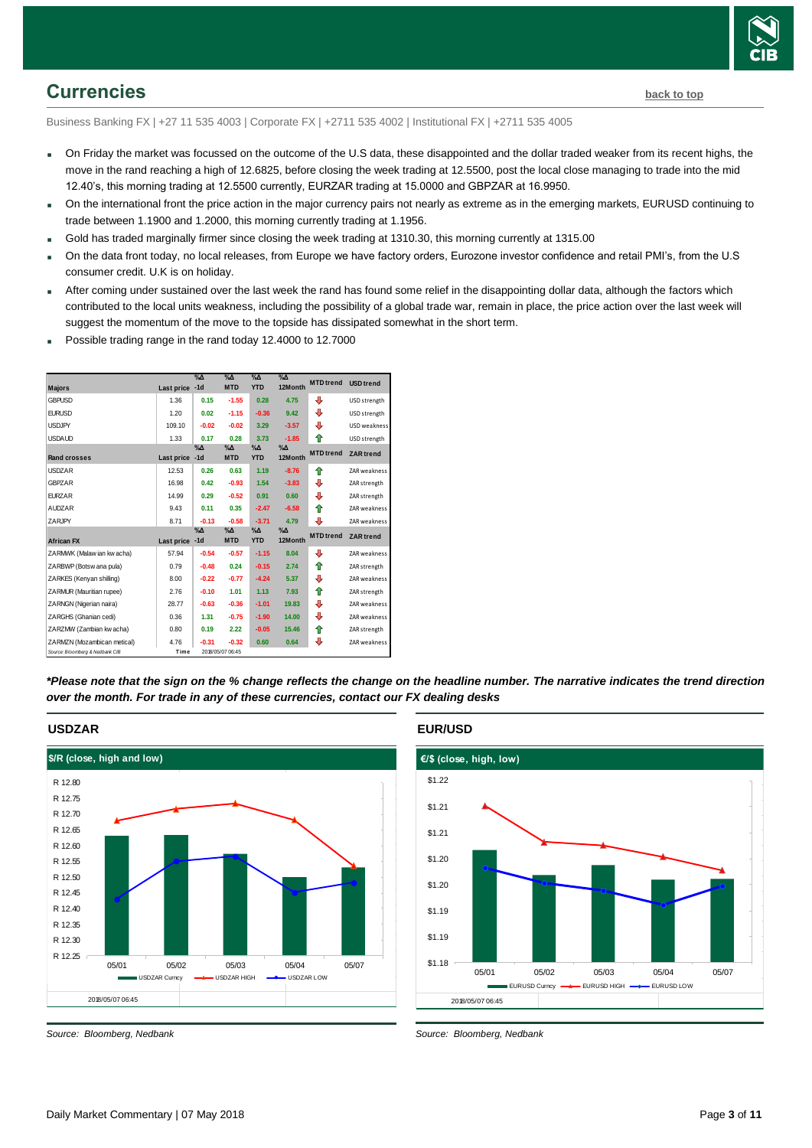

### <span id="page-2-0"></span>**Currencies [back to top](#page-0-0)**

Business Banking FX | +27 11 535 4003 | Corporate FX | +2711 535 4002 | Institutional FX | +2711 535 4005

- On Friday the market was focussed on the outcome of the U.S data, these disappointed and the dollar traded weaker from its recent highs, the move in the rand reaching a high of 12.6825, before closing the week trading at 12.5500, post the local close managing to trade into the mid 12.40's, this morning trading at 12.5500 currently, EURZAR trading at 15.0000 and GBPZAR at 16.9950.
- On the international front the price action in the major currency pairs not nearly as extreme as in the emerging markets, EURUSD continuing to trade between 1.1900 and 1.2000, this morning currently trading at 1.1956.
- Gold has traded marginally firmer since closing the week trading at 1310.30, this morning currently at 1315.00
- On the data front today, no local releases, from Europe we have factory orders, Eurozone investor confidence and retail PMI's, from the U.S consumer credit. U.K is on holiday.
- After coming under sustained over the last week the rand has found some relief in the disappointing dollar data, although the factors which contributed to the local units weakness, including the possibility of a global trade war, remain in place, the price action over the last week will suggest the momentum of the move to the topside has dissipated somewhat in the short term.
- Possible trading range in the rand today 12.4000 to 12.7000



*\*Please note that the sign on the % change reflects the change on the headline number. The narrative indicates the trend direction over the month. For trade in any of these currencies, contact our FX dealing desks*



#### **USDZAR**

*Source: Bloomberg, Nedbank*

#### **EUR/USD**



*Source: Bloomberg, Nedbank*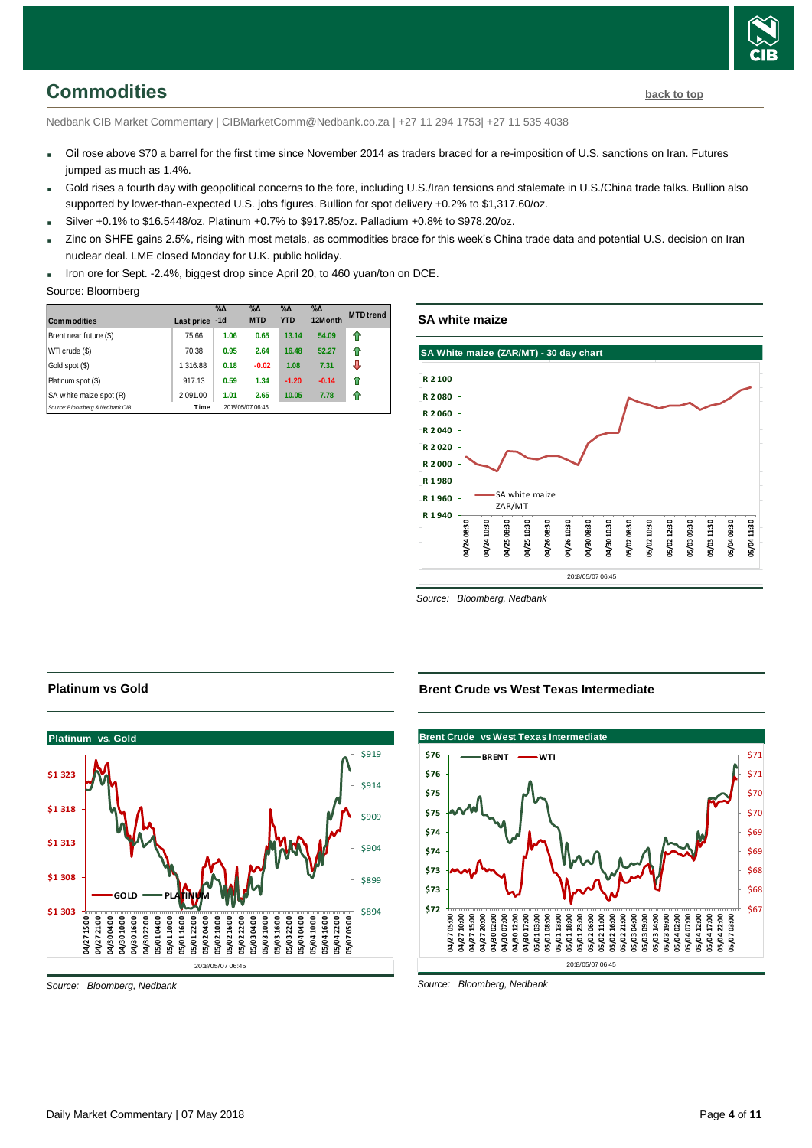

# <span id="page-3-0"></span>**Commodities [back to top](#page-0-0)**

Nedbank CIB Market Commentary | CIBMarketComm@Nedbank.co.za | +27 11 294 1753| +27 11 535 4038

- Oil rose above \$70 a barrel for the first time since November 2014 as traders braced for a re-imposition of U.S. sanctions on Iran. Futures jumped as much as 1.4%.
- Gold rises a fourth day with geopolitical concerns to the fore, including U.S./Iran tensions and stalemate in U.S./China trade talks. Bullion also supported by lower-than-expected U.S. jobs figures. Bullion for spot delivery +0.2% to \$1,317.60/oz.
- $Silver +0.1%$  to \$16.5448/oz. Platinum +0.7% to \$917.85/oz. Palladium +0.8% to \$978.20/oz.
- Zinc on SHFE gains 2.5%, rising with most metals, as commodities brace for this week's China trade data and potential U.S. decision on Iran nuclear deal. LME closed Monday for U.K. public holiday.
- Iron ore for Sept. -2.4%, biggest drop since April 20, to 460 yuan/ton on DCE.

#### Source: Bloomberg

| <b>Commodities</b>              | Last price | $\%$ $\Delta$<br>$-1d$ | $\%$ $\Delta$<br><b>MTD</b> | $\%$ $\Delta$<br><b>YTD</b> | $\%$ $\Delta$<br>12Month | <b>MTD</b> trend |
|---------------------------------|------------|------------------------|-----------------------------|-----------------------------|--------------------------|------------------|
| Brent near future (\$)          | 75.66      | 1.06                   | 0.65                        | 13.14                       | 54.09                    | 11               |
| WTI crude (\$)                  | 70.38      | 0.95                   | 2.64                        | 16.48                       | 52.27                    | 11               |
| Gold spot (\$)                  | 1 316.88   | 0.18                   | $-0.02$                     | 1.08                        | 7.31                     | J                |
| Platinum spot (\$)              | 917.13     | 0.59                   | 1.34                        | $-1.20$                     | $-0.14$                  | fr               |
| SA w hite maize spot (R)        | 2 091.00   | 1.01                   | 2.65                        | 10.05                       | 7.78                     | 11               |
| Source: Bloomberg & Nedbank CIB | Time       |                        | 2018/05/07 06:45            |                             |                          |                  |

#### **SA white maize**



*Source: Bloomberg, Nedbank*

#### **Platinum vs Gold**



*Source: Bloomberg, Nedbank*

#### **Brent Crude vs West Texas Intermediate**



*Source: Bloomberg, Nedbank*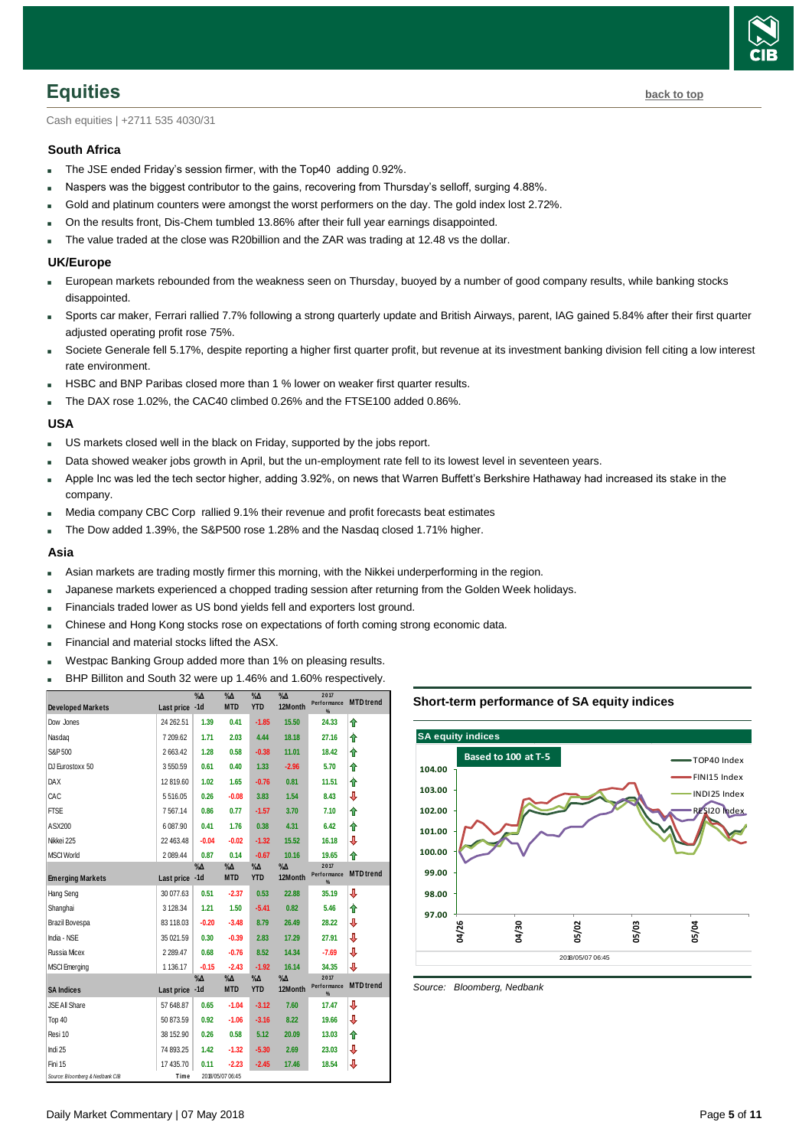

<span id="page-4-0"></span>**Equities [back to top](#page-0-0)** 

Cash equities | +2711 535 4030/31

#### **South Africa**

- The JSE ended Friday's session firmer, with the Top40 adding 0.92%.
- Naspers was the biggest contributor to the gains, recovering from Thursday's selloff, surging 4.88%.
- Gold and platinum counters were amongst the worst performers on the day. The gold index lost 2.72%.
- On the results front, Dis-Chem tumbled 13.86% after their full year earnings disappointed.
- The value traded at the close was R20billion and the ZAR was trading at 12.48 vs the dollar.

#### **UK/Europe**

- European markets rebounded from the weakness seen on Thursday, buoyed by a number of good company results, while banking stocks disappointed.
- Sports car maker, Ferrari rallied 7.7% following a strong quarterly update and British Airways, parent, IAG gained 5.84% after their first quarter adjusted operating profit rose 75%.
- Societe Generale fell 5.17%, despite reporting a higher first quarter profit, but revenue at its investment banking division fell citing a low interest rate environment.
- HSBC and BNP Paribas closed more than 1 % lower on weaker first quarter results.
- The DAX rose 1.02%, the CAC40 climbed 0.26% and the FTSE100 added 0.86%.

#### **USA**

- US markets closed well in the black on Friday, supported by the jobs report.
- Data showed weaker jobs growth in April, but the un-employment rate fell to its lowest level in seventeen years.
- Apple Inc was led the tech sector higher, adding 3.92%, on news that Warren Buffett's Berkshire Hathaway had increased its stake in the company.
- Media company CBC Corp rallied 9.1% their revenue and profit forecasts beat estimates
- The Dow added 1.39%, the S&P500 rose 1.28% and the Nasdaq closed 1.71% higher.

#### **Asia**

- Asian markets are trading mostly firmer this morning, with the Nikkei underperforming in the region.
- Japanese markets experienced a chopped trading session after returning from the Golden Week holidays.
- Financials traded lower as US bond yields fell and exporters lost ground.
- Chinese and Hong Kong stocks rose on expectations of forth coming strong economic data.
- Financial and material stocks lifted the ASX.
- Westpac Banking Group added more than 1% on pleasing results.
- 

| BHP Billiton and South 32 were up 1.46% and 1.60% respectively. |                |               |                             |                             |                          |                             |                  |  |
|-----------------------------------------------------------------|----------------|---------------|-----------------------------|-----------------------------|--------------------------|-----------------------------|------------------|--|
| <b>Developed Markets</b>                                        | Last price -1d | $\%$ $\Delta$ | $\%$ $\Delta$<br><b>MTD</b> | $\sqrt[9]{4}$<br><b>YTD</b> | $\%$ $\Delta$<br>12Month | 2017<br>Performance<br>%    | <b>MTD</b> trend |  |
| Dow Jones                                                       | 24 262.51      | 1.39          | 0.41                        | $-1.85$                     | 15.50                    | 24.33                       | ⇑                |  |
| Nasdag                                                          | 7 209.62       | 1.71          | 2.03                        | 4.44                        | 18.18                    | 27.16                       | ⇑                |  |
| S&P 500                                                         | 2663.42        | 1.28          | 0.58                        | $-0.38$                     | 11.01                    | 18.42                       | ⇑                |  |
| DJ Eurostoxx 50                                                 | 3550.59        | 0.61          | 0.40                        | 1.33                        | $-2.96$                  | 5.70                        | ⇑                |  |
| DAX                                                             | 12819.60       | 1.02          | 1.65                        | $-0.76$                     | 0.81                     | 11.51                       | ⇑                |  |
| CAC                                                             | 5516.05        | 0.26          | $-0.08$                     | 3.83                        | 1.54                     | 8.43                        | ⇩                |  |
| <b>FTSE</b>                                                     | 7567.14        | 0.86          | 0.77                        | $-1.57$                     | 3.70                     | 7.10                        | ⇑                |  |
| ASX200                                                          | 6 087.90       | 0.41          | 1.76                        | 0.38                        | 4.31                     | 6.42                        | ⇑                |  |
| Nikkei 225                                                      | 22 463.48      | $-0.04$       | $-0.02$                     | $-1.32$                     | 15.52                    | 16.18                       | ⇩                |  |
| <b>MSCI World</b>                                               | 2 089.44       | 0.87          | 0.14                        | $-0.67$                     | 10.16                    | 19.65                       | ⇑                |  |
| <b>Emerging Markets</b>                                         | Last price -1d | $\%$ $\Delta$ | %Δ<br><b>MTD</b>            | $\% \Delta$<br><b>YTD</b>   | %Д<br>12Month            | 2017<br>Performance<br>$\%$ | <b>MTD</b> trend |  |
| <b>Hang Seng</b>                                                | 30 077.63      | 0.51          | $-2.37$                     | 0.53                        | 22.88                    | 35.19                       | ⇩                |  |
| Shanghai                                                        | 3 128.34       | 1.21          | 1.50                        | $-5.41$                     | 0.82                     | 5.46                        | ⇑                |  |
| Brazil Bovespa                                                  | 83 118.03      | $-0.20$       | $-3.48$                     | 8.79                        | 26.49                    | 28.22                       | ⇩                |  |
| India - NSE                                                     | 35 021.59      | 0.30          | $-0.39$                     | 2.83                        | 17.29                    | 27.91                       | ⇩                |  |
| Russia Micex                                                    | 2 2 8 9.47     | 0.68          | $-0.76$                     | 8.52                        | 14.34                    | $-7.69$                     | ⇩                |  |
| <b>MSCI</b> Emerging                                            | 1 136.17       | $-0.15$       | $-2.43$                     | $-1.92$                     | 16.14                    | 34.35                       | J                |  |
| <b>SA Indices</b>                                               | Last price -1d | %Д            | %Δ<br><b>MTD</b>            | $\% \Delta$<br><b>YTD</b>   | %Δ<br>12Month            | 2017<br>Performance<br>%    | <b>MTD</b> trend |  |
| JSE All Share                                                   | 57 648.87      | 0.65          | $-1.04$                     | $-3.12$                     | 7.60                     | 17.47                       | ⇩                |  |
| Top 40                                                          | 50 873.59      | 0.92          | $-1.06$                     | $-3.16$                     | 8.22                     | 19.66                       | ⇩                |  |
| Resi 10                                                         | 38 152.90      | 0.26          | 0.58                        | 5.12                        | 20.09                    | 13.03                       | ⇑                |  |
| Indi 25                                                         | 74 893.25      | 1.42          | $-1.32$                     | $-5.30$                     | 2.69                     | 23.03                       | ⇩                |  |
| Fini 15                                                         | 17 435.70      | 0.11          | $-2.23$                     | $-2.45$                     | 17.46                    | 18.54                       | ⇩                |  |
| Source: Bloomberg & Nedbank CIB                                 | Time           |               | 2018/05/07 06:45            |                             |                          |                             |                  |  |

#### **Short-term performance of SA equity indices**



*Source: Bloomberg, Nedbank*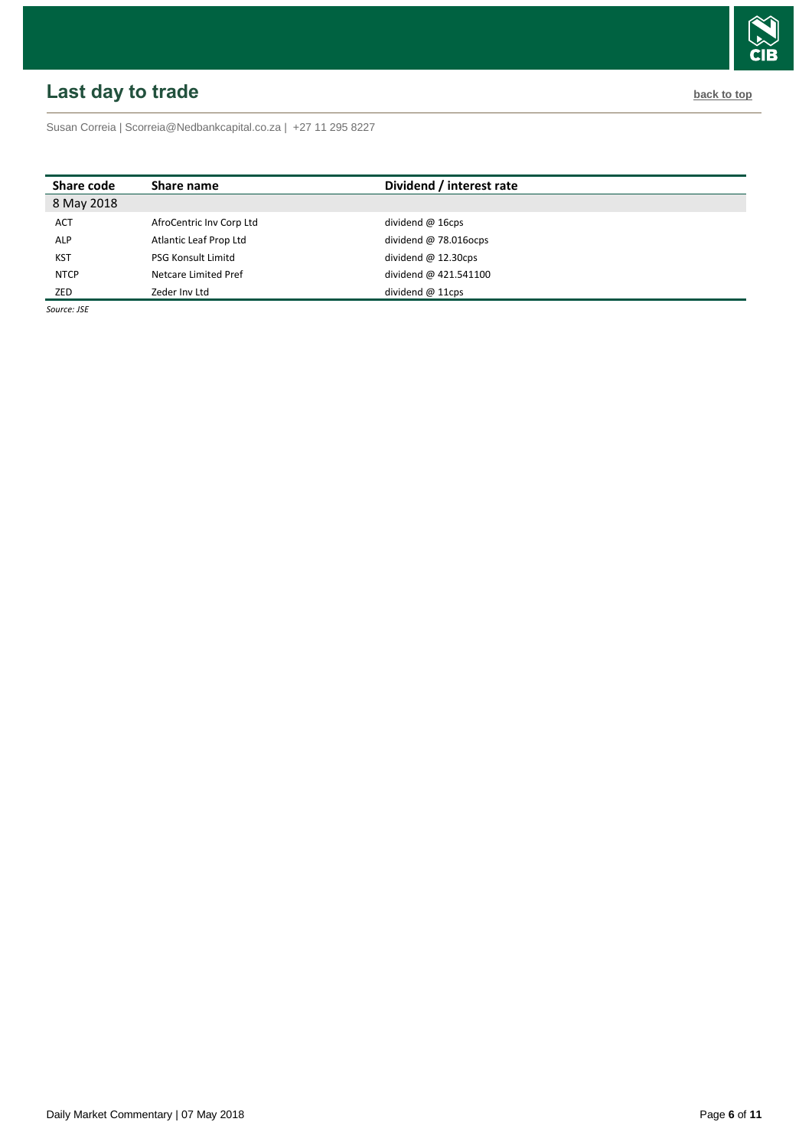# <span id="page-5-0"></span>**Last day to trade back to the contract of the contract of the contract of the contract of the contract of the contract of the contract of the contract of the contract of the contract of the contract of the contract of t**

Susan Correia [| Scorreia@Nedbankcapital.co.za](mailto:Scorreia@Nedbankcapital.co.za) | +27 11 295 8227

| Share code  | Share name                | Dividend / interest rate |
|-------------|---------------------------|--------------------------|
| 8 May 2018  |                           |                          |
| <b>ACT</b>  | AfroCentric Inv Corp Ltd  | dividend $@$ 16cps       |
| <b>ALP</b>  | Atlantic Leaf Prop Ltd    | dividend $@78.016$ ocps  |
| <b>KST</b>  | <b>PSG Konsult Limitd</b> | dividend $@$ 12.30cps    |
| <b>NTCP</b> | Netcare Limited Pref      | dividend @ 421.541100    |
| ZED         | Zeder Inv Ltd             | dividend $@11\text{cps}$ |

*Source: JSE*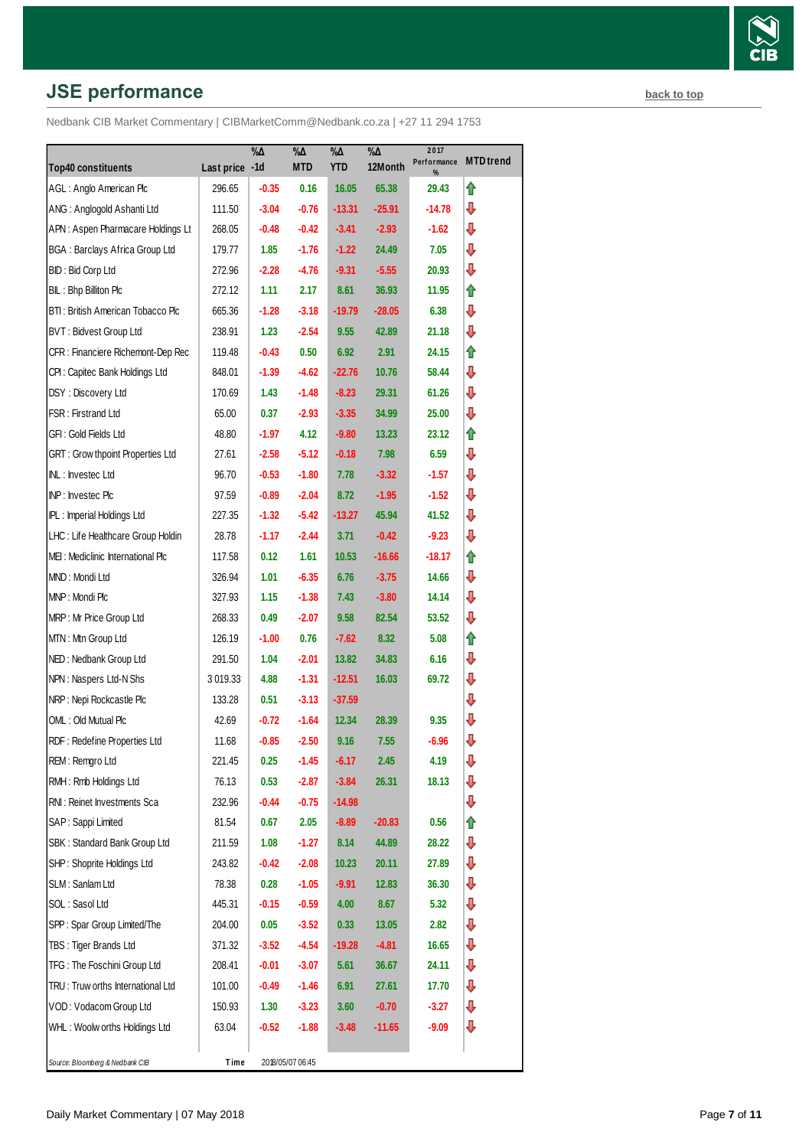# **JSE performance [back to top](#page-0-0) back to top**

|                                         |                | $\% \Delta$ | %Δ<br><b>MTD</b> | $\% \Delta$<br><b>YTD</b> | $\% \Delta$<br>12Month | 2017<br>Performance | <b>MTD</b> trend |
|-----------------------------------------|----------------|-------------|------------------|---------------------------|------------------------|---------------------|------------------|
| <b>Top40 constituents</b>               | Last price -1d |             |                  |                           |                        | %                   |                  |
| AGL: Anglo American Plc                 | 296.65         | $-0.35$     | 0.16             | 16.05                     | 65.38                  | 29.43               | ⇑                |
| ANG: Anglogold Ashanti Ltd              | 111.50         | $-3.04$     | $-0.76$          | $-13.31$                  | $-25.91$               | -14.78              | ⊕                |
| APN: Aspen Pharmacare Holdings Lt       | 268.05         | $-0.48$     | $-0.42$          | $-3.41$                   | $-2.93$                | -1.62               | ⇩                |
| <b>BGA: Barclays Africa Group Ltd</b>   | 179.77         | 1.85        | $-1.76$          | $-1.22$                   | 24.49                  | 7.05                | ⇩                |
| BID: Bid Corp Ltd                       | 272.96         | $-2.28$     | $-4.76$          | $-9.31$                   | $-5.55$                | 20.93               | ⇩                |
| BIL: Bhp Billiton Plc                   | 272.12         | 1.11        | 2.17             | 8.61                      | 36.93                  | 11.95               | ⇑                |
| BTI: British American Tobacco Plc       | 665.36         | $-1.28$     | $-3.18$          | $-19.79$                  | $-28.05$               | 6.38                | ⇩                |
| BVT: Bidvest Group Ltd                  | 238.91         | 1.23        | $-2.54$          | 9.55                      | 42.89                  | 21.18               | ⊕                |
| CFR : Financiere Richemont-Dep Rec      | 119.48         | $-0.43$     | 0.50             | 6.92                      | 2.91                   | 24.15               | ⇑                |
| CPI: Capitec Bank Holdings Ltd          | 848.01         | $-1.39$     | $-4.62$          | $-22.76$                  | 10.76                  | 58.44               | ⊕                |
| DSY: Discovery Ltd                      | 170.69         | 1.43        | $-1.48$          | $-8.23$                   | 29.31                  | 61.26               | ⇩                |
| FSR: Firstrand Ltd                      | 65.00          | 0.37        | $-2.93$          | $-3.35$                   | 34.99                  | 25.00               | ⇩                |
| GFI : Gold Fields Ltd                   | 48.80          | $-1.97$     | 4.12             | $-9.80$                   | 13.23                  | 23.12               | ⇑                |
| <b>GRT: Grow thpoint Properties Ltd</b> | 27.61          | $-2.58$     | $-5.12$          | $-0.18$                   | 7.98                   | 6.59                | ⊕                |
| INL: Investec Ltd                       | 96.70          | $-0.53$     | $-1.80$          | 7.78                      | $-3.32$                | $-1.57$             | ⇩                |
| INP: Investec Plc                       | 97.59          | $-0.89$     | $-2.04$          | 8.72                      | $-1.95$                | -1.52               | ⇩                |
| IPL: Imperial Holdings Ltd              | 227.35         | $-1.32$     | $-5.42$          | $-13.27$                  | 45.94                  | 41.52               | ⊕                |
| LHC: Life Healthcare Group Holdin       | 28.78          | $-1.17$     | $-2.44$          | 3.71                      | $-0.42$                | $-9.23$             | ⊕                |
| MEI: Mediclinic International Plc       | 117.58         | 0.12        | 1.61             | 10.53                     | $-16.66$               | $-18.17$            | ⇑                |
| MND: Mondi Ltd                          | 326.94         | 1.01        | $-6.35$          | 6.76                      | $-3.75$                | 14.66               | ⇩                |
| MNP: Mondi Plc                          | 327.93         | 1.15        | $-1.38$          | 7.43                      | $-3.80$                | 14.14               | ⊕                |
| MRP: Mr Price Group Ltd                 | 268.33         | 0.49        | $-2.07$          | 9.58                      | 82.54                  | 53.52               | ⊕                |
| MTN: Mtn Group Ltd                      | 126.19         | $-1.00$     | 0.76             | -7.62                     | 8.32                   | 5.08                | ⇑                |
| NED: Nedbank Group Ltd                  | 291.50         | 1.04        | $-2.01$          | 13.82                     | 34.83                  | 6.16                | ⇩                |
| NPN: Naspers Ltd-N Shs                  | 3019.33        | 4.88        | $-1.31$          | $-12.51$                  | 16.03                  | 69.72               | ⊕                |
| NRP: Nepi Rockcastle Plc                | 133.28         | 0.51        | $-3.13$          | $-37.59$                  |                        |                     | ⇩                |
| OML: Old Mutual Plc                     | 42.69          | $-0.72$     | $-1.64$          | 12.34                     | 28.39                  | 9.35                | ⇩                |
| RDF: Redefine Properties Ltd            | 11.68          | $-0.85$     | $-2.50$          | 9.16                      | 7.55                   | $-6.96$             | ⊕                |
| REM: Remgro Ltd                         | 221.45         | 0.25        | $-1.45$          | $-6.17$                   | 2.45                   | 4.19                | ⇩                |
| RMH : Rmb Holdings Ltd                  | 76.13          | 0.53        | $-2.87$          | $-3.84$                   | 26.31                  | 18.13               | ⇩                |
| RNI: Reinet Investments Sca             | 232.96         | $-0.44$     | $-0.75$          | $-14.98$                  |                        |                     | ⊕                |
| SAP: Sappi Limited                      | 81.54          | 0.67        | 2.05             | $-8.89$                   | $-20.83$               | 0.56                | ⇑                |
| SBK: Standard Bank Group Ltd            | 211.59         | 1.08        | $-1.27$          | 8.14                      | 44.89                  | 28.22               | ⇩                |
| SHP: Shoprite Holdings Ltd              | 243.82         | $-0.42$     | $-2.08$          | 10.23                     | 20.11                  | 27.89               | ⊕                |
| SLM: Sanlam Ltd                         | 78.38          | 0.28        | $-1.05$          | -9.91                     | 12.83                  | 36.30               | ⇩                |
| SOL: Sasol Ltd                          | 445.31         | $-0.15$     | $-0.59$          | 4.00                      | 8.67                   | 5.32                | ⇩                |
| SPP: Spar Group Limited/The             | 204.00         | 0.05        | $-3.52$          | 0.33                      | 13.05                  | 2.82                | ⇩                |
| TBS: Tiger Brands Ltd                   | 371.32         | $-3.52$     | $-4.54$          | $-19.28$                  | $-4.81$                | 16.65               | ⇩                |
| TFG: The Foschini Group Ltd             | 208.41         | $-0.01$     | $-3.07$          | 5.61                      | 36.67                  | 24.11               | ⊕                |
| TRU: Truw orths International Ltd       | 101.00         | $-0.49$     | -1.46            | 6.91                      | 27.61                  | 17.70               | ⇩                |
| VOD: Vodacom Group Ltd                  | 150.93         | 1.30        | $-3.23$          | 3.60                      | $-0.70$                | $-3.27$             | ⊕                |
| WHL: Woolw orths Holdings Ltd           | 63.04          | $-0.52$     | $-1.88$          | $-3.48$                   | -11.65                 | $-9.09$             | ⇩                |
|                                         |                |             |                  |                           |                        |                     |                  |
| Source: Bloomberg & Nedbank CIB         | Time           |             | 2018/05/07 06:45 |                           |                        |                     |                  |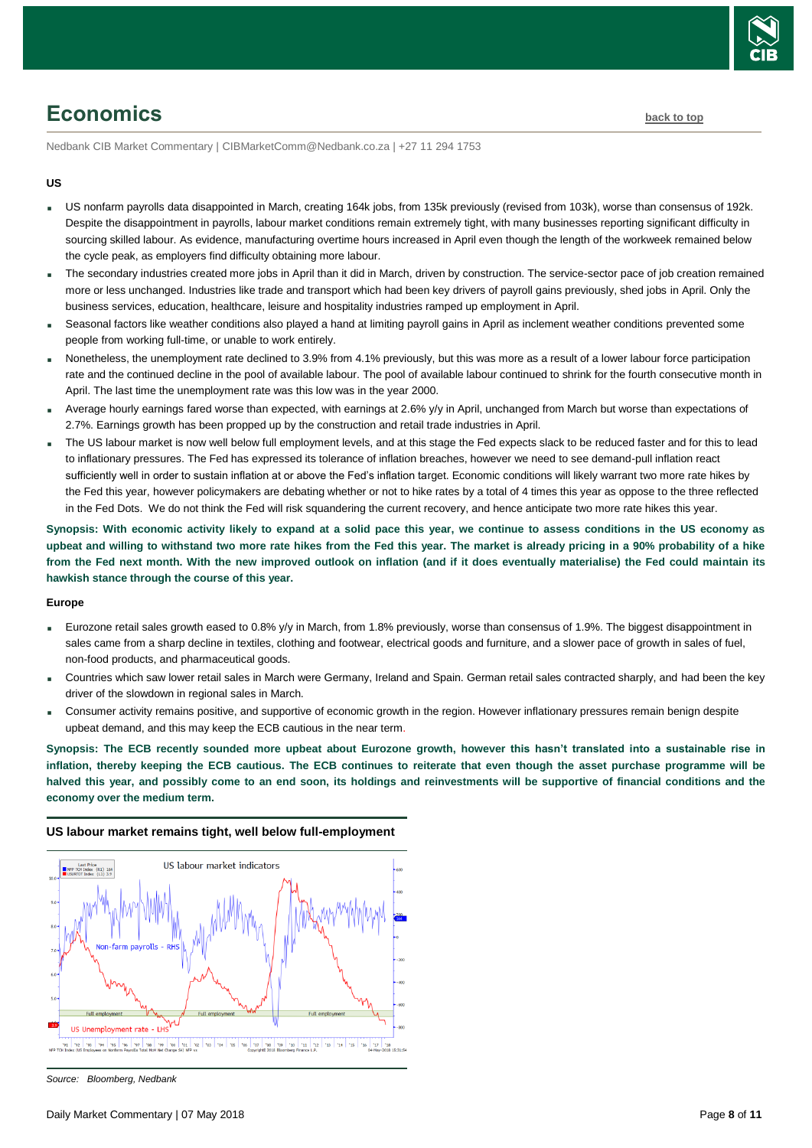

# <span id="page-7-0"></span>**Economics [back to top](#page-0-0)**

Nedbank CIB Market Commentary | CIBMarketComm@Nedbank.co.za | +27 11 294 1753

#### **US**

- US nonfarm payrolls data disappointed in March, creating 164k jobs, from 135k previously (revised from 103k), worse than consensus of 192k. Despite the disappointment in payrolls, labour market conditions remain extremely tight, with many businesses reporting significant difficulty in sourcing skilled labour. As evidence, manufacturing overtime hours increased in April even though the length of the workweek remained below the cycle peak, as employers find difficulty obtaining more labour.
- The secondary industries created more jobs in April than it did in March, driven by construction. The service-sector pace of job creation remained more or less unchanged. Industries like trade and transport which had been key drivers of payroll gains previously, shed jobs in April. Only the business services, education, healthcare, leisure and hospitality industries ramped up employment in April.
- Seasonal factors like weather conditions also played a hand at limiting payroll gains in April as inclement weather conditions prevented some people from working full-time, or unable to work entirely.
- Nonetheless, the unemployment rate declined to 3.9% from 4.1% previously, but this was more as a result of a lower labour force participation rate and the continued decline in the pool of available labour. The pool of available labour continued to shrink for the fourth consecutive month in April. The last time the unemployment rate was this low was in the year 2000.
- Average hourly earnings fared worse than expected, with earnings at 2.6% y/y in April, unchanged from March but worse than expectations of 2.7%. Earnings growth has been propped up by the construction and retail trade industries in April.
- The US labour market is now well below full employment levels, and at this stage the Fed expects slack to be reduced faster and for this to lead to inflationary pressures. The Fed has expressed its tolerance of inflation breaches, however we need to see demand-pull inflation react sufficiently well in order to sustain inflation at or above the Fed's inflation target. Economic conditions will likely warrant two more rate hikes by the Fed this year, however policymakers are debating whether or not to hike rates by a total of 4 times this year as oppose to the three reflected in the Fed Dots. We do not think the Fed will risk squandering the current recovery, and hence anticipate two more rate hikes this year.

**Synopsis: With economic activity likely to expand at a solid pace this year, we continue to assess conditions in the US economy as upbeat and willing to withstand two more rate hikes from the Fed this year. The market is already pricing in a 90% probability of a hike from the Fed next month. With the new improved outlook on inflation (and if it does eventually materialise) the Fed could maintain its hawkish stance through the course of this year.**

#### **Europe**

- Eurozone retail sales growth eased to 0.8% y/y in March, from 1.8% previously, worse than consensus of 1.9%. The biggest disappointment in sales came from a sharp decline in textiles, clothing and footwear, electrical goods and furniture, and a slower pace of growth in sales of fuel, non-food products, and pharmaceutical goods.
- Countries which saw lower retail sales in March were Germany, Ireland and Spain. German retail sales contracted sharply, and had been the key driver of the slowdown in regional sales in March.
- Consumer activity remains positive, and supportive of economic growth in the region. However inflationary pressures remain benign despite upbeat demand, and this may keep the ECB cautious in the near term.

**Synopsis: The ECB recently sounded more upbeat about Eurozone growth, however this hasn't translated into a sustainable rise in inflation, thereby keeping the ECB cautious. The ECB continues to reiterate that even though the asset purchase programme will be halved this year, and possibly come to an end soon, its holdings and reinvestments will be supportive of financial conditions and the economy over the medium term.**

#### **US labour market remains tight, well below full-employment**



*Source: Bloomberg, Nedbank*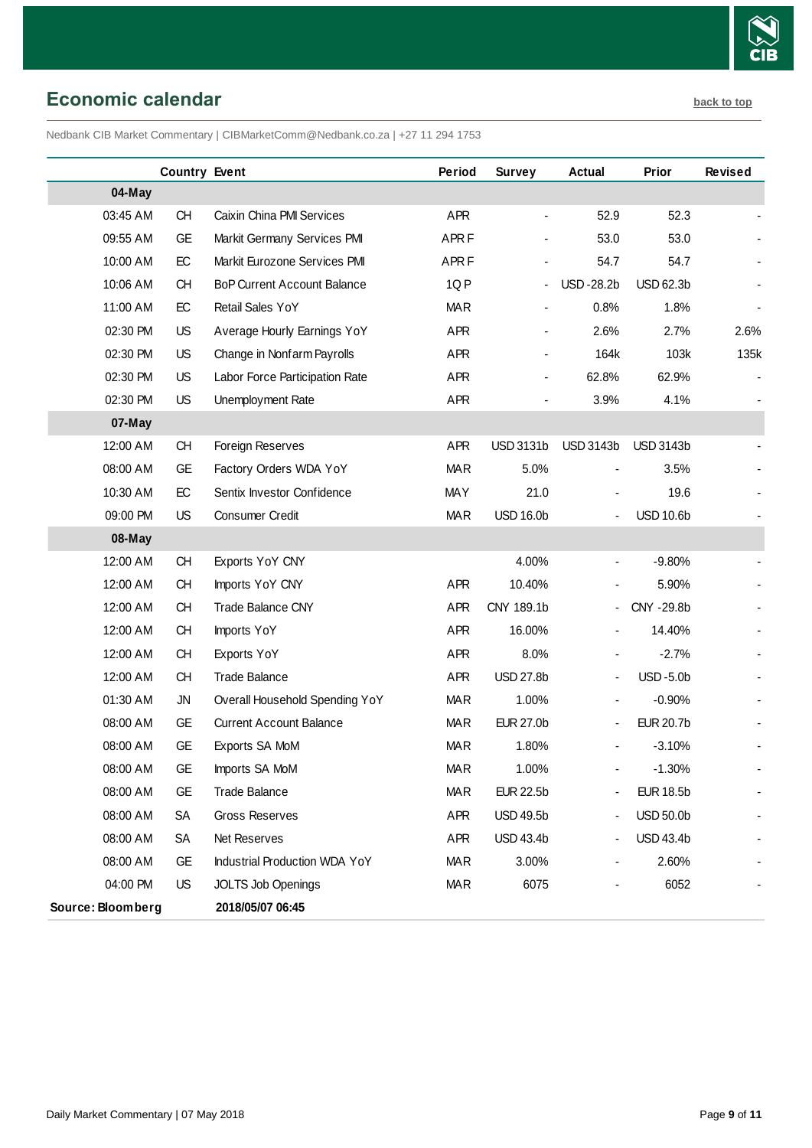

# <span id="page-8-0"></span>**Economic calendar [back to top](#page-0-0)**

Nedbank CIB Market Commentary | CIBMarketComm@Nedbank.co.za | +27 11 294 1753

|                   | <b>Country Event</b> |                                    | Period           | <b>Survey</b>    | Actual                       | Prior            | <b>Revised</b> |
|-------------------|----------------------|------------------------------------|------------------|------------------|------------------------------|------------------|----------------|
| 04-May            |                      |                                    |                  |                  |                              |                  |                |
| 03:45 AM          | <b>CH</b>            | Caixin China PMI Services          | <b>APR</b>       |                  | 52.9                         | 52.3             |                |
| 09:55 AM          | <b>GE</b>            | Markit Germany Services PMI        | APR <sub>F</sub> |                  | 53.0                         | 53.0             |                |
| 10:00 AM          | EC                   | Markit Eurozone Services PMI       | APR <sub>F</sub> |                  | 54.7                         | 54.7             |                |
| 10:06 AM          | <b>CH</b>            | <b>BoP Current Account Balance</b> | 1QP              |                  | <b>USD-28.2b</b>             | <b>USD 62.3b</b> |                |
| 11:00 AM          | EC                   | Retail Sales YoY                   | <b>MAR</b>       |                  | 0.8%                         | 1.8%             |                |
| 02:30 PM          | <b>US</b>            | Average Hourly Earnings YoY        | APR              |                  | 2.6%                         | 2.7%             | 2.6%           |
| 02:30 PM          | <b>US</b>            | Change in Nonfarm Payrolls         | APR              |                  | 164k                         | 103k             | 135k           |
| 02:30 PM          | <b>US</b>            | Labor Force Participation Rate     | APR              |                  | 62.8%                        | 62.9%            |                |
| 02:30 PM          | <b>US</b>            | Unemployment Rate                  | <b>APR</b>       |                  | 3.9%                         | 4.1%             |                |
| 07-May            |                      |                                    |                  |                  |                              |                  |                |
| 12:00 AM          | <b>CH</b>            | Foreign Reserves                   | APR              | <b>USD 3131b</b> | <b>USD 3143b</b>             | <b>USD 3143b</b> |                |
| 08:00 AM          | <b>GE</b>            | Factory Orders WDA YoY             | <b>MAR</b>       | 5.0%             |                              | 3.5%             |                |
| 10:30 AM          | EC                   | Sentix Investor Confidence         | <b>MAY</b>       | 21.0             |                              | 19.6             |                |
| 09:00 PM          | <b>US</b>            | Consumer Credit                    | <b>MAR</b>       | <b>USD 16.0b</b> |                              | <b>USD 10.6b</b> |                |
| 08-May            |                      |                                    |                  |                  |                              |                  |                |
| 12:00 AM          | CH                   | Exports YoY CNY                    |                  | 4.00%            | $\blacksquare$               | $-9.80%$         |                |
| 12:00 AM          | <b>CH</b>            | Imports YoY CNY                    | <b>APR</b>       | 10.40%           |                              | 5.90%            |                |
| 12:00 AM          | <b>CH</b>            | <b>Trade Balance CNY</b>           | APR              | CNY 189.1b       | $\blacksquare$               | CNY -29.8b       |                |
| 12:00 AM          | <b>CH</b>            | Imports YoY                        | APR              | 16.00%           |                              | 14.40%           |                |
| 12:00 AM          | <b>CH</b>            | Exports YoY                        | APR              | 8.0%             |                              | $-2.7%$          |                |
| 12:00 AM          | <b>CH</b>            | <b>Trade Balance</b>               | APR              | <b>USD 27.8b</b> | $\blacksquare$               | <b>USD-5.0b</b>  |                |
| 01:30 AM          | <b>JN</b>            | Overall Household Spending YoY     | <b>MAR</b>       | 1.00%            | $\blacksquare$               | $-0.90%$         |                |
| 08:00 AM          | <b>GE</b>            | <b>Current Account Balance</b>     | <b>MAR</b>       | <b>EUR 27.0b</b> | $\qquad \qquad \blacksquare$ | <b>EUR 20.7b</b> |                |
| 08:00 AM          | GE                   | Exports SA MoM                     | <b>MAR</b>       | 1.80%            |                              | $-3.10%$         |                |
| 08:00 AM          | <b>GE</b>            | Imports SA MoM                     | <b>MAR</b>       | 1.00%            |                              | $-1.30%$         |                |
| 08:00 AM          | <b>GE</b>            | <b>Trade Balance</b>               | <b>MAR</b>       | <b>EUR 22.5b</b> | $\blacksquare$               | <b>EUR 18.5b</b> |                |
| 08:00 AM          | <b>SA</b>            | <b>Gross Reserves</b>              | <b>APR</b>       | <b>USD 49.5b</b> | $\qquad \qquad \blacksquare$ | <b>USD 50.0b</b> |                |
| 08:00 AM          | SA                   | Net Reserves                       | APR              | <b>USD 43.4b</b> |                              | <b>USD 43.4b</b> |                |
| 08:00 AM          | GE                   | Industrial Production WDA YoY      | <b>MAR</b>       | 3.00%            |                              | 2.60%            |                |
| 04:00 PM          | <b>US</b>            | <b>JOLTS Job Openings</b>          | <b>MAR</b>       | 6075             |                              | 6052             |                |
| Source: Bloomberg |                      | 2018/05/07 06:45                   |                  |                  |                              |                  |                |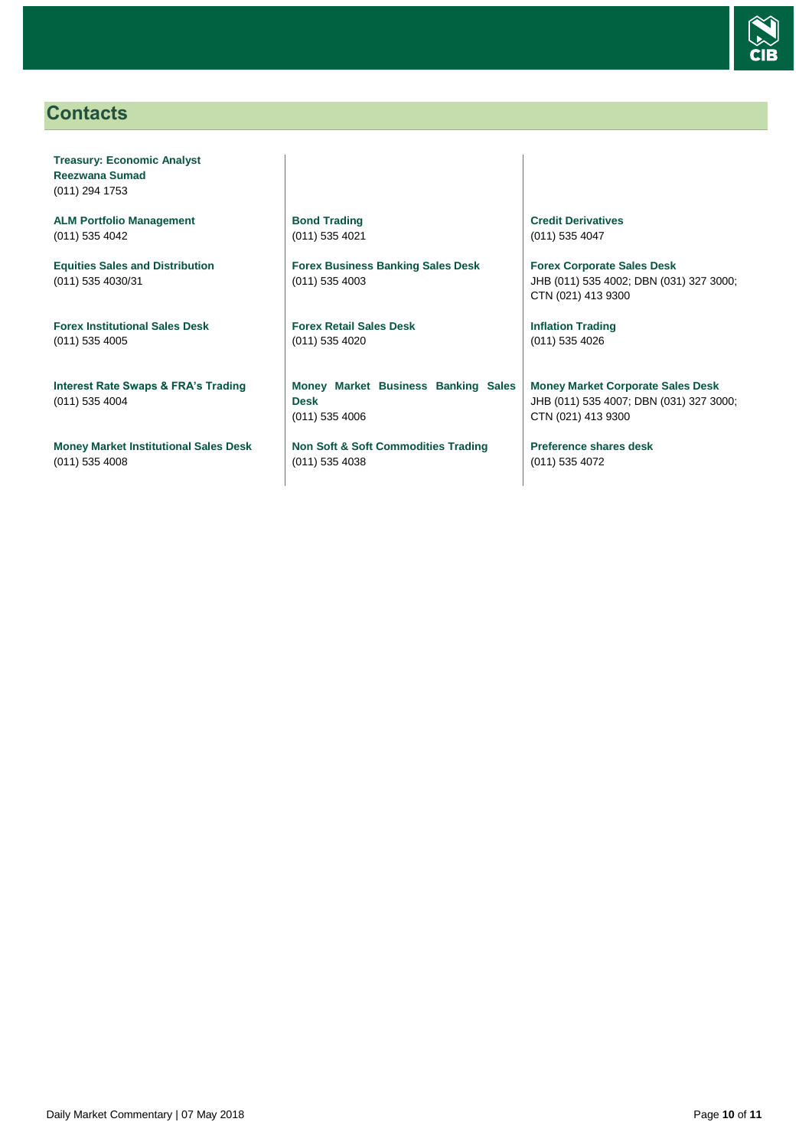

# <span id="page-9-0"></span>**Contacts**

**Treasury: Economic Analyst Reezwana Sumad** (011) 294 1753

**ALM Portfolio Management** (011) 535 4042

**Equities Sales and Distribution** (011) 535 4030/31

**Forex Institutional Sales Desk** (011) 535 4005

**Interest Rate Swaps & FRA's Trading** (011) 535 4004

**Money Market Institutional Sales Desk** (011) 535 4008

**Bond Trading** (011) 535 4021

**Forex Business Banking Sales Desk** (011) 535 4003

**Forex Retail Sales Desk** (011) 535 4020

**Money Market Business Banking Sales Desk** (011) 535 4006

**Non Soft & Soft Commodities Trading** (011) 535 4038

**Credit Derivatives**  (011) 535 4047

**Forex Corporate Sales Desk** JHB (011) 535 4002; DBN (031) 327 3000; CTN (021) 413 9300

**Inflation Trading** (011) 535 4026

**Money Market Corporate Sales Desk** JHB (011) 535 4007; DBN (031) 327 3000; CTN (021) 413 9300

**Preference shares desk** (011) 535 4072